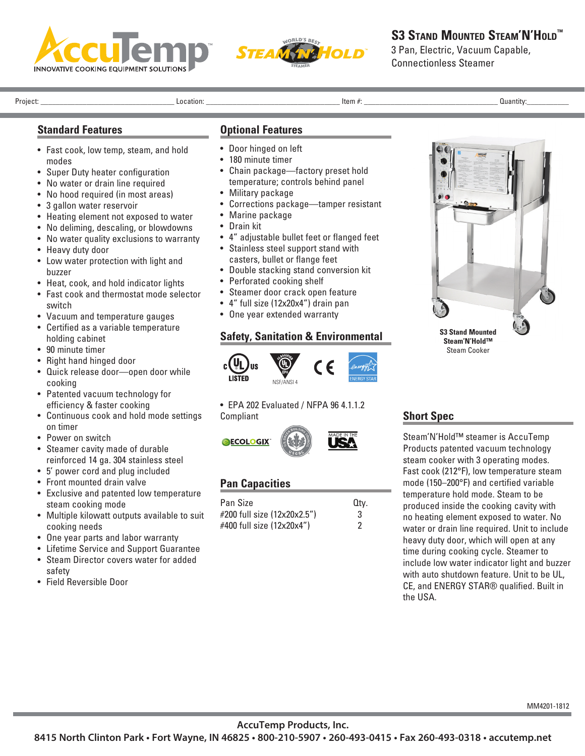



# **S3 STAND MOUNTED STEAM'N'HOLD™**

3 Pan, Electric, Vacuum Capable, Connectionless Steamer

Project: \_\_\_\_\_\_\_\_\_\_\_\_\_\_\_\_\_\_\_\_\_\_\_\_\_\_\_\_\_\_\_\_\_\_\_ Location: \_\_\_\_\_\_\_\_\_\_\_\_\_\_\_\_\_\_\_\_\_\_\_\_\_\_\_\_\_\_\_\_\_\_\_ Item #: \_\_\_\_\_\_\_\_\_\_\_\_\_\_\_\_\_\_\_\_\_\_\_\_\_\_\_\_\_\_\_\_\_\_\_ Quantity:\_\_\_\_\_\_\_\_\_\_\_

### **Standard Features**

- Fast cook, low temp, steam, and hold modes
- Super Duty heater configuration
- No water or drain line required
- No hood required (in most areas)
- 3 gallon water reservoir
- Heating element not exposed to water
- No deliming, descaling, or blowdowns
- No water quality exclusions to warranty
- Heavy duty door
- Low water protection with light and buzzer
- Heat, cook, and hold indicator lights
- Fast cook and thermostat mode selector switch
- Vacuum and temperature gauges
- Certified as a variable temperature holding cabinet
- 90 minute timer
- Right hand hinged door
- Quick release door—open door while cooking
- Patented vacuum technology for efficiency & faster cooking
- Continuous cook and hold mode settings on timer
- Power on switch
- Steamer cavity made of durable reinforced 14 ga. 304 stainless steel
- 5' power cord and plug included
- Front mounted drain valve
- Exclusive and patented low temperature steam cooking mode
- Multiple kilowatt outputs available to suit cooking needs
- One year parts and labor warranty
- Lifetime Service and Support Guarantee • Steam Director covers water for added
- safety • Field Reversible Door

### **Optional Features**

- Door hinged on left
- 180 minute timer
- Chain package—factory preset hold temperature; controls behind panel
- Military package
- Corrections package—tamper resistant
- Marine package
- Drain kit
- 4" adjustable bullet feet or flanged feet
- Stainless steel support stand with casters, bullet or flange feet
- Double stacking stand conversion kit
- Perforated cooking shelf
- Steamer door crack open feature
- 4" full size (12x20x4") drain pan
	- One year extended warranty

#### **Safety, Sanitation & Environmental**



• EPA 202 Evaluated / NFPA 96 4.1.1.2 Compliant



## **Pan Capacities**

| Pan Size                    | Qtv. |
|-----------------------------|------|
| #200 full size (12x20x2.5") | 3    |
| #400 full size (12x20x4")   | 2    |



## **Short Spec**

Steam'N'Hold™ steamer is AccuTemp Products patented vacuum technology steam cooker with 3 operating modes. Fast cook (212°F), low temperature steam mode (150–200°F) and certified variable temperature hold mode. Steam to be produced inside the cooking cavity with no heating element exposed to water. No water or drain line required. Unit to include heavy duty door, which will open at any time during cooking cycle. Steamer to include low water indicator light and buzzer with auto shutdown feature. Unit to be UL, CE, and ENERGY STAR® qualified. Built in the USA.